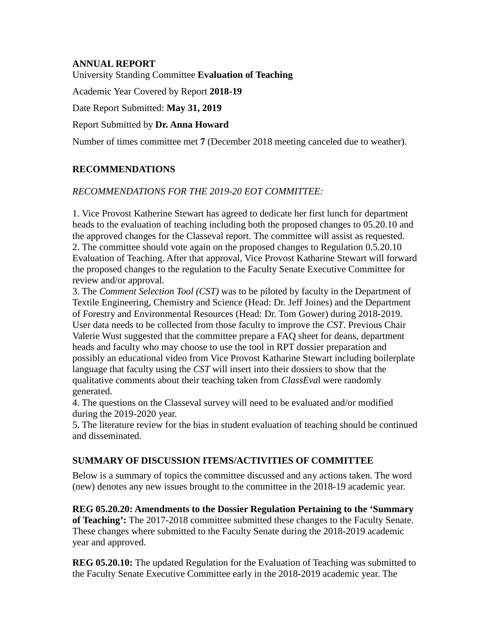## **ANNUAL REPORT**

University Standing Committee **Evaluation of Teaching**

Academic Year Covered by Report **2018-19**

Date Report Submitted: **May 31, 2019**

## Report Submitted by **Dr. Anna Howard**

Number of times committee met **7** (December 2018 meeting canceled due to weather).

# **RECOMMENDATIONS**

## *RECOMMENDATIONS FOR THE 2019-20 EOT COMMITTEE:*

1. Vice Provost Katherine Stewart has agreed to dedicate her first lunch for department heads to the evaluation of teaching including both the proposed changes to 05.20.10 and the approved changes for the Classeval report. The committee will assist as requested. 2. The committee should vote again on the proposed changes to Regulation 0.5.20.10 Evaluation of Teaching. After that approval, Vice Provost Katharine Stewart will forward the proposed changes to the regulation to the Faculty Senate Executive Committee for review and/or approval.

3. The *Comment Selection Tool (CST)* was to be piloted by faculty in the Department of Textile Engineering, Chemistry and Science (Head: Dr. Jeff Joines) and the Department of Forestry and Environmental Resources (Head: Dr. Tom Gower) during 2018-2019. User data needs to be collected from those faculty to improve the *CST*. Previous Chair Valerie Wust suggested that the committee prepare a FAQ sheet for deans, department heads and faculty who may choose to use the tool in RPT dossier preparation and possibly an educational video from Vice Provost Katharine Stewart including boilerplate language that faculty using the *CST* will insert into their dossiers to show that the qualitative comments about their teaching taken from *ClassEva*l were randomly generated.

4. The questions on the Classeval survey will need to be evaluated and/or modified during the 2019-2020 year.

5. The literature review for the bias in student evaluation of teaching should be continued and disseminated.

# **SUMMARY OF DISCUSSION ITEMS/ACTIVITIES OF COMMITTEE**

Below is a summary of topics the committee discussed and any actions taken. The word (new) denotes any new issues brought to the committee in the 2018-19 academic year.

**REG 05.20.20: Amendments to the Dossier Regulation Pertaining to the 'Summary of Teaching':** The 2017-2018 committee submitted these changes to the Faculty Senate. These changes where submitted to the Faculty Senate during the 2018-2019 academic year and approved.

**REG 05.20.10:** The updated Regulation for the Evaluation of Teaching was submitted to the Faculty Senate Executive Committee early in the 2018-2019 academic year. The